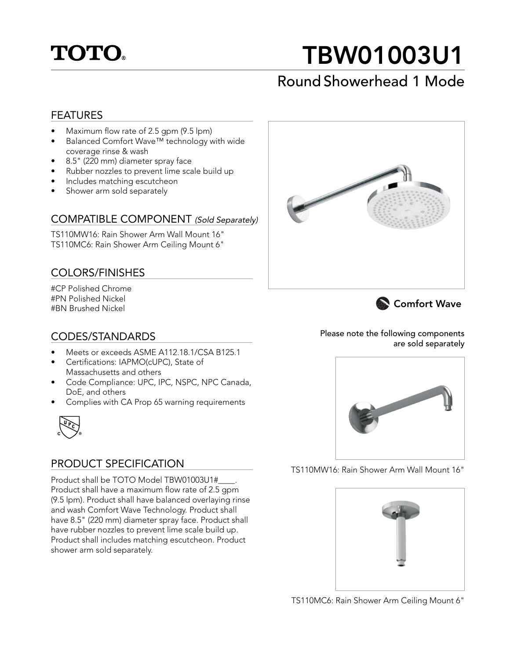

# TBW01003U1

# Round Showerhead 1 Mode

### FEATURES

- Maximum flow rate of 2.5 gpm (9.5 lpm)
- Balanced Comfort Wave™ technology with wide coverage rinse & wash
- 8.5" (220 mm) diameter spray face
- Rubber nozzles to prevent lime scale build up
- Includes matching escutcheon
- Shower arm sold separately

#### COMPATIBLE COMPONENT (Sold Separately)

TS110MW16: Rain Shower Arm Wall Mount 16" TS110MC6: Rain Shower Arm Ceiling Mount 6"

## COLORS/FINISHES

#CP Polished Chrome #PN Polished Nickel #BN Brushed Nickel





### CODES/STANDARDS

- Meets or exceeds ASME A112.18.1/CSA B125.1
- Certifications: IAPMO(cUPC), State of Massachusetts and others
- Code Compliance: UPC, IPC, NSPC, NPC Canada, DoE, and others
- Complies with CA Prop 65 warning requirements



# PRODUCT SPECIFICATION

Product shall be TOTO Model TBW01003U1#\_\_\_\_. Product shall have a maximum flow rate of 2.5 gpm (9.5 lpm). Product shall have balanced overlaying rinse and wash Comfort Wave Technology. Product shall have 8.5" (220 mm) diameter spray face. Product shall have rubber nozzles to prevent lime scale build up. Product shall includes matching escutcheon. Product shower arm sold separately.

Please note the following components are sold separately



TS110MW16: Rain Shower Arm Wall Mount 16"



TS110MC6: Rain Shower Arm Ceiling Mount 6"